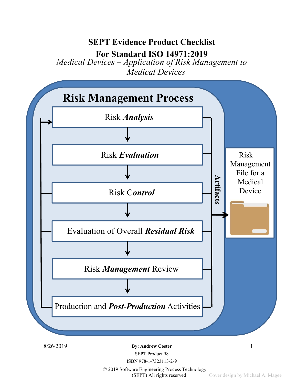# SEPT Evidence Product Checklist

For Standard ISO 14971:2019

Medical Devices – Application of Risk Management to Medical Devices



8/26/2019 **By: Andrew Coster** 1

SEPT Product 98

ISBN 978-1-7323113-2-9

© 2019 Software Engineering Process Technology (SEPT) All rights reserved Cover design by Michael A. Magee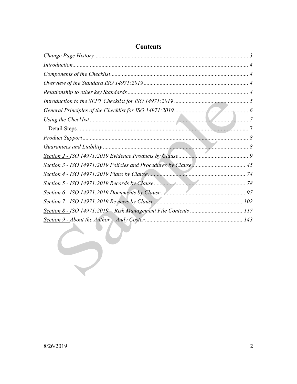#### **Contents**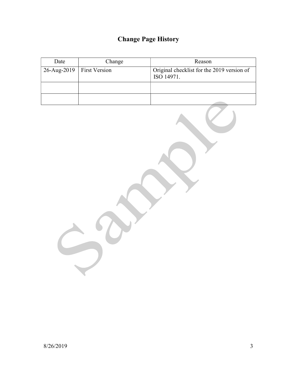## Change Page History

| Date                           | Change | Reason                                                   |
|--------------------------------|--------|----------------------------------------------------------|
| $26$ -Aug-2019   First Version |        | Original checklist for the 2019 version of<br>ISO 14971. |
|                                |        |                                                          |
|                                |        |                                                          |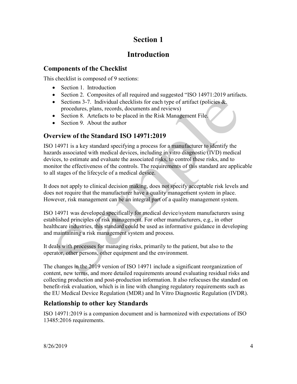## Section 1

## Introduction

### Components of the Checklist

This checklist is composed of 9 sections:

- Section 1. Introduction
- Section 2. Composites of all required and suggested "ISO 14971:2019 artifacts.
- Sections 3-7. Individual checklists for each type of artifact (policies  $\&$ . procedures, plans, records, documents and reviews)
- Section 8. Artefacts to be placed in the Risk Management File.
- Section 9. About the author

### Overview of the Standard ISO 14971:2019

ISO 14971 is a key standard specifying a process for a manufacturer to identify the hazards associated with medical devices, including in vitro diagnostic (IVD) medical devices, to estimate and evaluate the associated risks, to control these risks, and to monitor the effectiveness of the controls. The requirements of this standard are applicable to all stages of the lifecycle of a medical device.

It does not apply to clinical decision making, does not specify acceptable risk levels and does not require that the manufacturer have a quality management system in place. However, risk management can be an integral part of a quality management system.

ISO 14971 was developed specifically for medical device/system manufacturers using established principles of risk management. For other manufacturers, e.g., in other healthcare industries, this standard could be used as informative guidance in developing and maintaining a risk management system and process.

It deals with processes for managing risks, primarily to the patient, but also to the operator, other persons, other equipment and the environment.

The changes in the 2019 version of ISO 14971 include a significant reorganization of content, new terms, and more detailed requirements around evaluating residual risks and collecting production and post-production information. It also refocuses the standard on benefit-risk evaluation, which is in line with changing regulatory requirements such as the EU Medical Device Regulation (MDR) and In Vitro Diagnostic Regulation (IVDR).

### Relationship to other key Standards

ISO 14971:2019 is a companion document and is harmonized with expectations of ISO 13485:2016 requirements.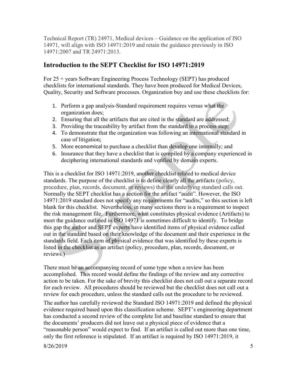Technical Report (TR) 24971, Medical devices – Guidance on the application of ISO 14971, will align with ISO 14971:2019 and retain the guidance previously in ISO 14971:2007 and TR 24971:2013.

#### Introduction to the SEPT Checklist for ISO 14971:2019

For 25 + years Software Engineering Process Technology (SEPT) has produced checklists for international standards. They have been produced for Medical Devices, Quality, Security and Software processes. Organization buy and use these checklists for:

- 1. Perform a gap analysis-Standard requirement requires versus what the organization does;
- 2. Ensuring that all the artifacts that are cited in the standard are addressed;
- 3. Providing the traceability by artifact from the standard to a process step;
- 4. To demonstrate that the organization was following an international standard in case of litigation;
- 5. More economical to purchase a checklist than develop one internally; and
- 6. Insurance that they have a checklist that is compiled by a company experienced in deciphering international standards and verified by domain experts.

This is a checklist for ISO 14971:2019, another checklist related to medical device standards. The purpose of the checklist is to define clearly all the artifacts (policy, procedure, plan, records, document, or reviews) that the underlying standard calls out. Normally the SEPT checklist has a section for the artifact "audit". However, the ISO 14971:2019 standard does not specify any requirements for "audits," so this section is left blank for this checklist. Nevertheless, in many sections there is a requirement to inspect the risk management file. Furthermore, what constitutes physical evidence (Artifacts) to meet the guidance outlined in ISO 14971 is sometimes difficult to identify. To bridge this gap the author and SEPT experts have identified items of physical evidence called out in the standard based on their knowledge of the document and their experience in the standards field. Each item of physical evidence that was identified by these experts is listed in the checklist as an artifact (policy, procedure, plan, records, document, or reviews.)

There must be an accompanying record of some type when a review has been accomplished. This record would define the findings of the review and any corrective action to be taken. For the sake of brevity this checklist does not call out a separate record for each review. All procedures should be reviewed but the checklist does not call out a review for each procedure, unless the standard calls out the procedure to be reviewed.

The author has carefully reviewed the Standard ISO 14971:2019 and defined the physical evidence required based upon this classification scheme. SEPT's engineering department has conducted a second review of the complete list and baseline standard to ensure that the documents' producers did not leave out a physical piece of evidence that a "reasonable person" would expect to find. If an artifact is called out more than one time, only the first reference is stipulated. If an artifact is required by ISO 14971:2019, it

8/26/2019 5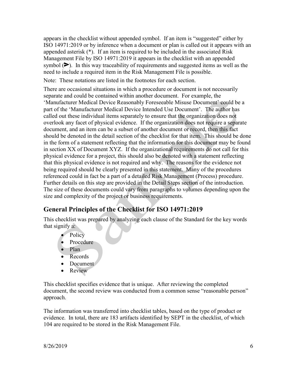appears in the checklist without appended symbol. If an item is "suggested" either by ISO 14971:2019 or by inference when a document or plan is called out it appears with an appended asterisk (\*). If an item is required to be included in the associated Risk Management File by ISO 14971:2019 it appears in the checklist with an appended symbol  $(\triangleright)$ . In this way traceability of requirements and suggested items as well as the need to include a required item in the Risk Management File is possible.

Note: These notations are listed in the footnotes for each section.

There are occasional situations in which a procedure or document is not necessarily separate and could be contained within another document. For example, the 'Manufacturer Medical Device Reasonably Foreseeable Misuse Document' could be a part of the 'Manufacturer Medical Device Intended Use Document'. The author has called out these individual items separately to ensure that the organization does not overlook any facet of physical evidence. If the organization does not require a separate document, and an item can be a subset of another document or record, then this fact should be denoted in the detail section of the checklist for that item. This should be done in the form of a statement reflecting that the information for this document may be found in section XX of Document XYZ. If the organizational requirements do not call for this physical evidence for a project, this should also be denoted with a statement reflecting that this physical evidence is not required and why. The reasons for the evidence not being required should be clearly presented in this statement. Many of the procedures referenced could in fact be a part of a detailed Risk Management (Process) procedure. Further details on this step are provided in the Detail Steps section of the introduction. The size of these documents could vary from paragraphs to volumes depending upon the size and complexity of the project or business requirements.

### General Principles of the Checklist for ISO 14971:2019

This checklist was prepared by analyzing each clause of the Standard for the key words that signify a:

- Policy
- Procedure
- Plan
- Records
- Document
- Review

This checklist specifies evidence that is unique. After reviewing the completed document, the second review was conducted from a common sense "reasonable person" approach.

The information was transferred into checklist tables, based on the type of product or evidence. In total, there are 183 artifacts identified by SEPT in the checklist, of which 104 are required to be stored in the Risk Management File.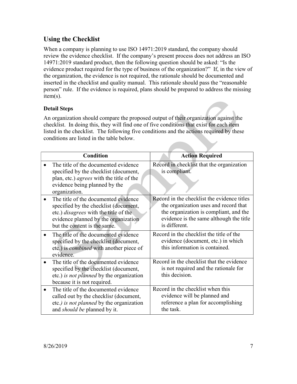### Using the Checklist

When a company is planning to use ISO 14971:2019 standard, the company should review the evidence checklist. If the company's present process does not address an ISO 14971:2019 standard product, then the following question should be asked: "Is the evidence product required for the type of business of the organization?" If, in the view of the organization, the evidence is not required, the rationale should be documented and inserted in the checklist and quality manual. This rationale should pass the "reasonable person" rule. If the evidence is required, plans should be prepared to address the missing item(s).

#### Detail Steps

An organization should compare the proposed output of their organization against the checklist. In doing this, they will find one of five conditions that exist for each item listed in the checklist. The following five conditions and the actions required by these conditions are listed in the table below.

| <b>Condition</b>                                                                                                                                                                                      | <b>Action Required</b>                                                                                                                                                                     |
|-------------------------------------------------------------------------------------------------------------------------------------------------------------------------------------------------------|--------------------------------------------------------------------------------------------------------------------------------------------------------------------------------------------|
| The title of the documented evidence<br>specified by the checklist (document,<br>plan, etc.) <i>agrees</i> with the title of the<br>evidence being planned by the<br>organization.                    | Record in checklist that the organization<br>is compliant.                                                                                                                                 |
| The title of the documented evidence<br>specified by the checklist (document,<br>etc.) <i>disagrees</i> with the title of the<br>evidence planned by the organization<br>but the content is the same. | Record in the checklist the evidence titles<br>the organization uses and record that<br>the organization is compliant, and the<br>evidence is the same although the title<br>is different. |
| The title of the documented evidence<br>specified by the checklist (document,<br>etc.) is <i>combined</i> with another piece of<br>evidence.                                                          | Record in the checklist the title of the<br>evidence (document, etc.) in which<br>this information is contained.                                                                           |
| The title of the documented evidence<br>specified by the checklist (document,<br>etc.) is not planned by the organization<br>because it is not required.                                              | Record in the checklist that the evidence<br>is not required and the rationale for<br>this decision.                                                                                       |
| The title of the documented evidence<br>called out by the checklist (document,<br>etc.) is not planned by the organization<br>and <i>should be</i> planned by it.                                     | Record in the checklist when this<br>evidence will be planned and<br>reference a plan for accomplishing<br>the task.                                                                       |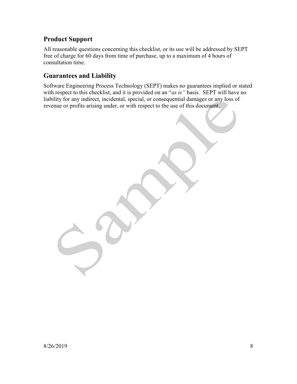### Product Support

All reasonable questions concerning this checklist, or its use will be addressed by SEPT free of charge for 60 days from time of purchase, up to a maximum of 4 hours of consultation time.

### Guarantees and Liability

Software Engineering Process Technology (SEPT) makes no guarantees implied or stated with respect to this checklist, and it is provided on an "as is" basis. SEPT will have no liability for any indirect, incidental, special, or consequential damages or any loss of revenue or profits arising under, or with respect to the use of this document.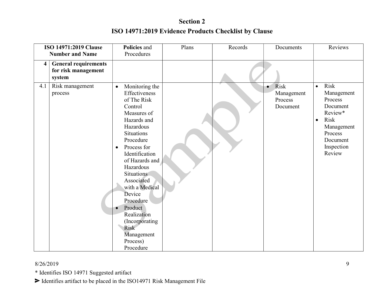|                         | <b>ISO 14971:2019 Clause</b>                                 | Policies and                                                                                                                                                                                                                                                                                                                                                                                                   | Plans | Records | Documents                                              | Reviews                                                                                                                                             |
|-------------------------|--------------------------------------------------------------|----------------------------------------------------------------------------------------------------------------------------------------------------------------------------------------------------------------------------------------------------------------------------------------------------------------------------------------------------------------------------------------------------------------|-------|---------|--------------------------------------------------------|-----------------------------------------------------------------------------------------------------------------------------------------------------|
|                         | <b>Number and Name</b>                                       | Procedures                                                                                                                                                                                                                                                                                                                                                                                                     |       |         |                                                        |                                                                                                                                                     |
| $\overline{\mathbf{4}}$ | <b>General requirements</b><br>for risk management<br>system |                                                                                                                                                                                                                                                                                                                                                                                                                |       |         |                                                        |                                                                                                                                                     |
| 4.1                     | Risk management<br>process                                   | Monitoring the<br>$\bullet$<br>Effectiveness<br>of The Risk<br>Control<br>Measures of<br>Hazards and<br>Hazardous<br><b>Situations</b><br>Procedure<br>Process for<br>$\bullet$<br>Identification<br>of Hazards and<br>Hazardous<br><b>Situations</b><br>Associated<br>with a Medical<br>Device<br>Procedure<br>Product<br>Realization<br>(Incorporating<br><b>Risk</b><br>Management<br>Process)<br>Procedure |       |         | Risk<br>$\bullet$<br>Management<br>Process<br>Document | Risk<br>$\bullet$<br>Management<br>Process<br>Document<br>Review*<br>Risk<br>$\bullet$<br>Management<br>Process<br>Document<br>Inspection<br>Review |

#### 8/26/2019

\* Identifies ISO 14971 Suggested artifact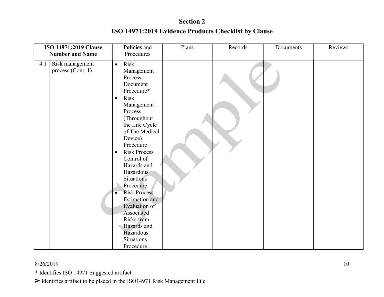|     | ISO 14971:2019 Clause                | Policies and                                                                                                                                                                                                                                                                                                                                                                                                                                                                   | Plans | Records | Documents | Reviews |
|-----|--------------------------------------|--------------------------------------------------------------------------------------------------------------------------------------------------------------------------------------------------------------------------------------------------------------------------------------------------------------------------------------------------------------------------------------------------------------------------------------------------------------------------------|-------|---------|-----------|---------|
|     | <b>Number and Name</b>               | Procedures                                                                                                                                                                                                                                                                                                                                                                                                                                                                     |       |         |           |         |
| 4.1 | Risk management<br>process (Cont. 1) | Risk<br>$\bullet$<br>Management<br>Process<br>Document<br>Procedure*<br>Risk<br>$\bullet$<br>Management<br>Process<br>(Throughout<br>the Life Cycle<br>of The Medical<br>Device)<br>Procedure<br><b>Risk Process</b><br>$\bullet$<br>Control of<br>Hazards and<br>Hazardous<br><b>Situations</b><br>Procedure<br><b>Risk Process</b><br>$\bullet$<br>Estimation and<br>Evaluation of<br>Associated<br>Risks from<br>Hazards and<br>Hazardous<br><b>Situations</b><br>Procedure |       |         |           |         |

#### 8/26/2019

\* Identifies ISO 14971 Suggested artifact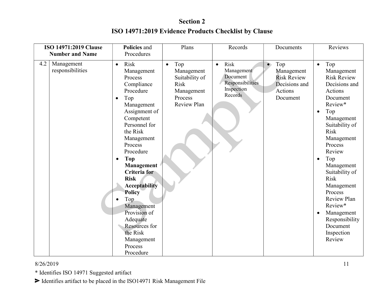| <b>ISO 14971:2019 Clause</b><br><b>Number and Name</b> | Policies and<br>Procedures                                                                                                                                                                                                                                                                                                                                                                                                                                         | Plans                                                                                                   | Records                                                                                  | Documents                                                                                    | Reviews                                                                                                                                                                                                                                                                                                                                                                                                              |
|--------------------------------------------------------|--------------------------------------------------------------------------------------------------------------------------------------------------------------------------------------------------------------------------------------------------------------------------------------------------------------------------------------------------------------------------------------------------------------------------------------------------------------------|---------------------------------------------------------------------------------------------------------|------------------------------------------------------------------------------------------|----------------------------------------------------------------------------------------------|----------------------------------------------------------------------------------------------------------------------------------------------------------------------------------------------------------------------------------------------------------------------------------------------------------------------------------------------------------------------------------------------------------------------|
| 4.2<br>Management<br>responsibilities                  | <b>Risk</b><br>$\bullet$<br>Management<br>Process<br>Compliance<br>Procedure<br>Top<br>$\bullet$<br>Management<br>Assignment of<br>Competent<br>Personnel for<br>the Risk<br>Management<br>Process<br>Procedure<br><b>Top</b><br>$\bullet$<br><b>Management</b><br><b>Criteria</b> for<br><b>Risk</b><br><b>Acceptability</b><br><b>Policy</b><br>Top<br>Management<br>Provision of<br>Adequate<br>Resources for<br>the Risk<br>Management<br>Process<br>Procedure | Top<br>$\bullet$<br>Management<br>Suitability of<br><b>Risk</b><br>Management<br>Process<br>Review Plan | Risk<br>$\bullet$<br>Management<br>Document<br>Responsibilities<br>Inspection<br>Records | Top<br>$\bullet$<br>Management<br><b>Risk Review</b><br>Decisions and<br>Actions<br>Document | Top<br>$\bullet$<br>Management<br><b>Risk Review</b><br>Decisions and<br>Actions<br>Document<br>Review*<br>Top<br>$\bullet$<br>Management<br>Suitability of<br><b>Risk</b><br>Management<br>Process<br>Review<br>Top<br>$\bullet$<br>Management<br>Suitability of<br><b>Risk</b><br>Management<br>Process<br>Review Plan<br>Review*<br>Management<br>$\bullet$<br>Responsibility<br>Document<br>Inspection<br>Review |

#### 8/26/2019

\* Identifies ISO 14971 Suggested artifact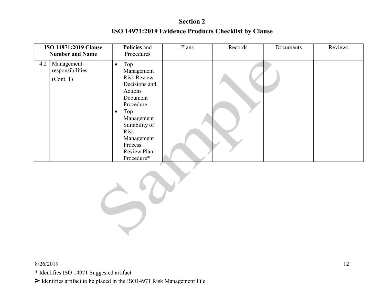|     | <b>ISO 14971:2019 Clause</b><br><b>Number and Name</b> | Policies and<br>Procedures                                                                                                                                                                                                  | Plans | Records | Documents | Reviews |
|-----|--------------------------------------------------------|-----------------------------------------------------------------------------------------------------------------------------------------------------------------------------------------------------------------------------|-------|---------|-----------|---------|
| 4.2 | Management<br>responsibilities<br>(Cont. 1)            | Top<br>$\bullet$<br>Management<br><b>Risk Review</b><br>Decisions and<br>Actions<br>Document<br>Procedure<br>Top<br>$\bullet$<br>Management<br>Suitability of<br>Risk<br>Management<br>Process<br>Review Plan<br>Procedure* |       |         |           |         |

$$
\frac{1}{2} \partial Y
$$

\* Identifies ISO 14971 Suggested artifact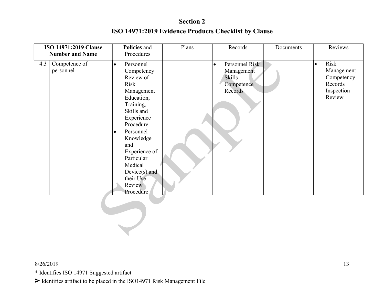|     | ISO 14971:2019 Clause<br><b>Number and Name</b> | Policies and<br>Procedures                                                                                                                                                                                                                                                                 | Plans | Records                                                                      | Documents | Reviews                                                                          |
|-----|-------------------------------------------------|--------------------------------------------------------------------------------------------------------------------------------------------------------------------------------------------------------------------------------------------------------------------------------------------|-------|------------------------------------------------------------------------------|-----------|----------------------------------------------------------------------------------|
| 4.3 | Competence of<br>personnel                      | Personnel<br>$\bullet$<br>Competency<br>Review of<br>Risk<br>Management<br>Education,<br>Training,<br>Skills and<br>Experience<br>Procedure<br>Personnel<br>$\bullet$<br>Knowledge<br>and<br>Experience of<br>Particular<br>Medical<br>$Device(s)$ and<br>their Use<br>Review<br>Procedure |       | Personnel Risk<br>$\bullet$<br>Management<br>Skills<br>Competence<br>Records |           | Risk<br>$\bullet$<br>Management<br>Competency<br>Records<br>Inspection<br>Review |
|     |                                                 |                                                                                                                                                                                                                                                                                            |       |                                                                              |           |                                                                                  |

#### 8/26/2019

\* Identifies ISO 14971 Suggested artifact